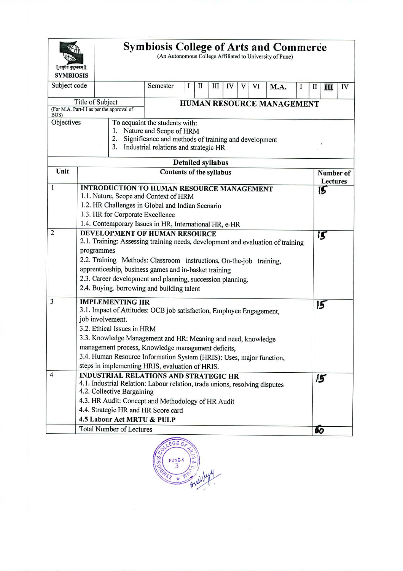| Subject code<br>Semester<br>1<br>П<br>Ш<br>IV<br>VI<br>V<br>M.A.<br>$\mathbf{I}$<br>IV<br>$\mathbf{I}$<br>1<br>Title of Subject<br>HUMAN RESOURCE MANAGEMENT<br>(For M.A. Part-I I as per the approval of<br>BOS)<br>Objectives<br>To acquaint the students with:<br>Nature and Scope of HRM<br>1.<br>2.<br>Significance and methods of training and development<br>3.<br>Industrial relations and strategic HR<br><b>Detailed syllabus</b><br>Unit<br><b>Contents of the syllabus</b><br>Lectures<br>$\mathbf{1}$<br><b>INTRODUCTION TO HUMAN RESOURCE MANAGEMENT</b><br>15<br>1.1. Nature, Scope and Context of HRM<br>1.2. HR Challenges in Global and Indian Scenario<br>1.3. HR for Corporate Excellence<br>1.4. Contemporary Issues in HR, International HR, e-HR<br>$\overline{2}$<br>DEVELOPMENT OF HUMAN RESOURCE<br>is<br>2.1. Training: Assessing training needs, development and evaluation of training<br>programmes<br>2.2. Training Methods: Classroom instructions, On-the-job training,<br>apprenticeship, business games and in-basket training<br>2.3. Career development and planning, succession planning.<br>2.4. Buying, borrowing and building talent<br>$\overline{\mathbf{3}}$<br><b>IMPLEMENTING HR</b><br>15<br>3.1. Impact of Attitudes: OCB job satisfaction, Employee Engagement,<br>job involvement.<br>3.2. Ethical Issues in HRM<br>3.3. Knowledge Management and HR: Meaning and need, knowledge<br>management process, Knowledge management deficits,<br>3.4. Human Resource Information System (HRIS): Uses, major function,<br>steps in implementing HRIS, evaluation of HRIS.<br>$\overline{4}$<br><b>INDUSTRIAL RELATIONS AND STRATEGIC HR</b><br>15<br>4.1. Industrial Relation: Labour relation, trade unions, resolving disputes<br>4.2. Collective Bargaining<br>4.3. HR Audit: Concept and Methodology of HR Audit<br>4.4. Strategic HR and HR Score card<br>4.5 Labour Act MRTU & PULP<br><b>Total Number of Lectures</b><br>60 | वसुपैव कुटुम्बकम्   <br><b>SYMBIOSIS</b> |  | <b>Symbiosis College of Arts and Commerce</b><br>(An Autonomous College Affiliated to University of Pune) |  |  |  |  |  |  |  |  |  |           |  |  |  |
|-------------------------------------------------------------------------------------------------------------------------------------------------------------------------------------------------------------------------------------------------------------------------------------------------------------------------------------------------------------------------------------------------------------------------------------------------------------------------------------------------------------------------------------------------------------------------------------------------------------------------------------------------------------------------------------------------------------------------------------------------------------------------------------------------------------------------------------------------------------------------------------------------------------------------------------------------------------------------------------------------------------------------------------------------------------------------------------------------------------------------------------------------------------------------------------------------------------------------------------------------------------------------------------------------------------------------------------------------------------------------------------------------------------------------------------------------------------------------------------------------------------------------------------------------------------------------------------------------------------------------------------------------------------------------------------------------------------------------------------------------------------------------------------------------------------------------------------------------------------------------------------------------------------------------------------------------------------------------------|------------------------------------------|--|-----------------------------------------------------------------------------------------------------------|--|--|--|--|--|--|--|--|--|-----------|--|--|--|
|                                                                                                                                                                                                                                                                                                                                                                                                                                                                                                                                                                                                                                                                                                                                                                                                                                                                                                                                                                                                                                                                                                                                                                                                                                                                                                                                                                                                                                                                                                                                                                                                                                                                                                                                                                                                                                                                                                                                                                               |                                          |  |                                                                                                           |  |  |  |  |  |  |  |  |  |           |  |  |  |
|                                                                                                                                                                                                                                                                                                                                                                                                                                                                                                                                                                                                                                                                                                                                                                                                                                                                                                                                                                                                                                                                                                                                                                                                                                                                                                                                                                                                                                                                                                                                                                                                                                                                                                                                                                                                                                                                                                                                                                               |                                          |  |                                                                                                           |  |  |  |  |  |  |  |  |  |           |  |  |  |
|                                                                                                                                                                                                                                                                                                                                                                                                                                                                                                                                                                                                                                                                                                                                                                                                                                                                                                                                                                                                                                                                                                                                                                                                                                                                                                                                                                                                                                                                                                                                                                                                                                                                                                                                                                                                                                                                                                                                                                               |                                          |  |                                                                                                           |  |  |  |  |  |  |  |  |  |           |  |  |  |
|                                                                                                                                                                                                                                                                                                                                                                                                                                                                                                                                                                                                                                                                                                                                                                                                                                                                                                                                                                                                                                                                                                                                                                                                                                                                                                                                                                                                                                                                                                                                                                                                                                                                                                                                                                                                                                                                                                                                                                               |                                          |  |                                                                                                           |  |  |  |  |  |  |  |  |  |           |  |  |  |
|                                                                                                                                                                                                                                                                                                                                                                                                                                                                                                                                                                                                                                                                                                                                                                                                                                                                                                                                                                                                                                                                                                                                                                                                                                                                                                                                                                                                                                                                                                                                                                                                                                                                                                                                                                                                                                                                                                                                                                               |                                          |  |                                                                                                           |  |  |  |  |  |  |  |  |  | Number of |  |  |  |
|                                                                                                                                                                                                                                                                                                                                                                                                                                                                                                                                                                                                                                                                                                                                                                                                                                                                                                                                                                                                                                                                                                                                                                                                                                                                                                                                                                                                                                                                                                                                                                                                                                                                                                                                                                                                                                                                                                                                                                               |                                          |  |                                                                                                           |  |  |  |  |  |  |  |  |  |           |  |  |  |
|                                                                                                                                                                                                                                                                                                                                                                                                                                                                                                                                                                                                                                                                                                                                                                                                                                                                                                                                                                                                                                                                                                                                                                                                                                                                                                                                                                                                                                                                                                                                                                                                                                                                                                                                                                                                                                                                                                                                                                               |                                          |  |                                                                                                           |  |  |  |  |  |  |  |  |  |           |  |  |  |
|                                                                                                                                                                                                                                                                                                                                                                                                                                                                                                                                                                                                                                                                                                                                                                                                                                                                                                                                                                                                                                                                                                                                                                                                                                                                                                                                                                                                                                                                                                                                                                                                                                                                                                                                                                                                                                                                                                                                                                               |                                          |  |                                                                                                           |  |  |  |  |  |  |  |  |  |           |  |  |  |
|                                                                                                                                                                                                                                                                                                                                                                                                                                                                                                                                                                                                                                                                                                                                                                                                                                                                                                                                                                                                                                                                                                                                                                                                                                                                                                                                                                                                                                                                                                                                                                                                                                                                                                                                                                                                                                                                                                                                                                               |                                          |  |                                                                                                           |  |  |  |  |  |  |  |  |  |           |  |  |  |
|                                                                                                                                                                                                                                                                                                                                                                                                                                                                                                                                                                                                                                                                                                                                                                                                                                                                                                                                                                                                                                                                                                                                                                                                                                                                                                                                                                                                                                                                                                                                                                                                                                                                                                                                                                                                                                                                                                                                                                               |                                          |  |                                                                                                           |  |  |  |  |  |  |  |  |  |           |  |  |  |
|                                                                                                                                                                                                                                                                                                                                                                                                                                                                                                                                                                                                                                                                                                                                                                                                                                                                                                                                                                                                                                                                                                                                                                                                                                                                                                                                                                                                                                                                                                                                                                                                                                                                                                                                                                                                                                                                                                                                                                               |                                          |  |                                                                                                           |  |  |  |  |  |  |  |  |  |           |  |  |  |
|                                                                                                                                                                                                                                                                                                                                                                                                                                                                                                                                                                                                                                                                                                                                                                                                                                                                                                                                                                                                                                                                                                                                                                                                                                                                                                                                                                                                                                                                                                                                                                                                                                                                                                                                                                                                                                                                                                                                                                               |                                          |  |                                                                                                           |  |  |  |  |  |  |  |  |  |           |  |  |  |
|                                                                                                                                                                                                                                                                                                                                                                                                                                                                                                                                                                                                                                                                                                                                                                                                                                                                                                                                                                                                                                                                                                                                                                                                                                                                                                                                                                                                                                                                                                                                                                                                                                                                                                                                                                                                                                                                                                                                                                               |                                          |  |                                                                                                           |  |  |  |  |  |  |  |  |  |           |  |  |  |
|                                                                                                                                                                                                                                                                                                                                                                                                                                                                                                                                                                                                                                                                                                                                                                                                                                                                                                                                                                                                                                                                                                                                                                                                                                                                                                                                                                                                                                                                                                                                                                                                                                                                                                                                                                                                                                                                                                                                                                               |                                          |  |                                                                                                           |  |  |  |  |  |  |  |  |  |           |  |  |  |
|                                                                                                                                                                                                                                                                                                                                                                                                                                                                                                                                                                                                                                                                                                                                                                                                                                                                                                                                                                                                                                                                                                                                                                                                                                                                                                                                                                                                                                                                                                                                                                                                                                                                                                                                                                                                                                                                                                                                                                               |                                          |  |                                                                                                           |  |  |  |  |  |  |  |  |  |           |  |  |  |
|                                                                                                                                                                                                                                                                                                                                                                                                                                                                                                                                                                                                                                                                                                                                                                                                                                                                                                                                                                                                                                                                                                                                                                                                                                                                                                                                                                                                                                                                                                                                                                                                                                                                                                                                                                                                                                                                                                                                                                               |                                          |  |                                                                                                           |  |  |  |  |  |  |  |  |  |           |  |  |  |
|                                                                                                                                                                                                                                                                                                                                                                                                                                                                                                                                                                                                                                                                                                                                                                                                                                                                                                                                                                                                                                                                                                                                                                                                                                                                                                                                                                                                                                                                                                                                                                                                                                                                                                                                                                                                                                                                                                                                                                               |                                          |  |                                                                                                           |  |  |  |  |  |  |  |  |  |           |  |  |  |
|                                                                                                                                                                                                                                                                                                                                                                                                                                                                                                                                                                                                                                                                                                                                                                                                                                                                                                                                                                                                                                                                                                                                                                                                                                                                                                                                                                                                                                                                                                                                                                                                                                                                                                                                                                                                                                                                                                                                                                               |                                          |  |                                                                                                           |  |  |  |  |  |  |  |  |  |           |  |  |  |
|                                                                                                                                                                                                                                                                                                                                                                                                                                                                                                                                                                                                                                                                                                                                                                                                                                                                                                                                                                                                                                                                                                                                                                                                                                                                                                                                                                                                                                                                                                                                                                                                                                                                                                                                                                                                                                                                                                                                                                               |                                          |  |                                                                                                           |  |  |  |  |  |  |  |  |  |           |  |  |  |
|                                                                                                                                                                                                                                                                                                                                                                                                                                                                                                                                                                                                                                                                                                                                                                                                                                                                                                                                                                                                                                                                                                                                                                                                                                                                                                                                                                                                                                                                                                                                                                                                                                                                                                                                                                                                                                                                                                                                                                               |                                          |  |                                                                                                           |  |  |  |  |  |  |  |  |  |           |  |  |  |
|                                                                                                                                                                                                                                                                                                                                                                                                                                                                                                                                                                                                                                                                                                                                                                                                                                                                                                                                                                                                                                                                                                                                                                                                                                                                                                                                                                                                                                                                                                                                                                                                                                                                                                                                                                                                                                                                                                                                                                               |                                          |  |                                                                                                           |  |  |  |  |  |  |  |  |  |           |  |  |  |
|                                                                                                                                                                                                                                                                                                                                                                                                                                                                                                                                                                                                                                                                                                                                                                                                                                                                                                                                                                                                                                                                                                                                                                                                                                                                                                                                                                                                                                                                                                                                                                                                                                                                                                                                                                                                                                                                                                                                                                               |                                          |  |                                                                                                           |  |  |  |  |  |  |  |  |  |           |  |  |  |